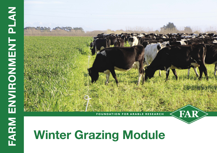

# **Winter Grazing Module**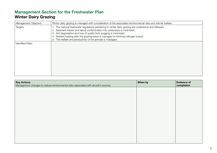## **Management Section for the Freshwater Plan Winter Dairy Grazing**

| Management Objective    | Winter dairy grazing is managed with consideration of the associated environmental risks and animal welfare.                                                                                                                                                                                                                                                                                               |
|-------------------------|------------------------------------------------------------------------------------------------------------------------------------------------------------------------------------------------------------------------------------------------------------------------------------------------------------------------------------------------------------------------------------------------------------|
| Targets                 | 1. The national freshwater regulations pertaining to winter dairy grazing are understood and followed.<br>2. Sediment losses and faecal contamination into waterways is minimised.<br>3. Soil degradation and loss of quality from pugging is minimised.<br>Nutrient loading after the grazing event is managed to minimise nitrogen losses.<br>5. The welfare and productivity of the animals is managed. |
| <b>Identified Risks</b> |                                                                                                                                                                                                                                                                                                                                                                                                            |

| <b>Key Actions</b><br>Management changes to reduce environmental risks associated with all point sources. | When by | <b>Evidence of</b><br>completion |
|-----------------------------------------------------------------------------------------------------------|---------|----------------------------------|
|                                                                                                           |         |                                  |
|                                                                                                           |         |                                  |
|                                                                                                           |         |                                  |
|                                                                                                           |         |                                  |
|                                                                                                           |         |                                  |
|                                                                                                           |         |                                  |
|                                                                                                           |         |                                  |
|                                                                                                           |         |                                  |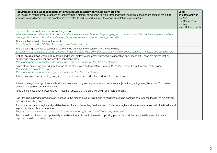| Requirements and Good management practices associated with winter dairy grazing<br>Use this list of management practices to identify what is already being done on your farm and what you might consider changing in the future.<br>Your answers will assist with the development of a plan to reduce and manage the environmental risks on your farm. | <b>Level</b><br>(Indicate answer)<br>$Y = Yes$<br>$S =$ Sometimes<br>$N = No$<br>$NA = Not applicable$ |
|--------------------------------------------------------------------------------------------------------------------------------------------------------------------------------------------------------------------------------------------------------------------------------------------------------------------------------------------------------|--------------------------------------------------------------------------------------------------------|
| Consider the paddock selection for winter grazing.<br>Wherever possible, select paddocks with soils that are not vulnerable to leaching, pugging and compaction, and do not have significant artificial<br>drainage via mole and tile drains, waterways, temporary streams or natural drainage channels.                                               |                                                                                                        |
| There is a feed-plan in place for the stock.<br>Consider using the B+LNZ FeedSmart app. www.feedsmart.co.nz.                                                                                                                                                                                                                                           |                                                                                                        |
| There is an ungrazed vegetated buffer zone of crop between the livestock and any waterways.<br>5 metres is a good starting point (Southland's Water and Land Plan minimum buffer is 5 m). Increase this distance with slope and soil type risk.                                                                                                        |                                                                                                        |
| Critical source areas where soil, nutrients and faecal matter to can enter waterways are identified and fenced off. These are grazed last or<br>quickly and lightly when soil and weather conditions allow.<br>This is potentially a requirement and not a GMP, if grazing is within 5-20 m from a waterway.                                           |                                                                                                        |
| Graze stock on sloping ground from the top of the slope towards the bottom; Leave a 20 m 'last bite' buffer at the base of the slope.<br>The standing crop acts as a filter.<br>This is potentially a requirement if grazing is within 5-20 m from a waterway.                                                                                         |                                                                                                        |
| If there is a waterway present, grazing is started at the opposite end of the paddock to the waterway.                                                                                                                                                                                                                                                 |                                                                                                        |
| If there is a regionally significant wetland, sensitive waterbody, estuary or coastal marine area adjacent to grazing area, there is a 20 m buffer<br>between the grazing area and the water.                                                                                                                                                          |                                                                                                        |
| Feed breaks have a long grazing face - Research shows that the crop will be utilised more efficiently.                                                                                                                                                                                                                                                 |                                                                                                        |
| Back fencing is used to prevent stock access to the grazed breaks. This helps to minimise pugging damage and reduces the risk of run off from<br>the bare, recently grazed soil.                                                                                                                                                                       |                                                                                                        |
| Transportable water troughs and portable feeders for supplementary feed are used. Portable troughs and feeders are moved with the breaks and<br>kept away from critical source areas.<br>Regular movement reduces the risk of soil damage from pugging and run-off from compacted soils.                                                               |                                                                                                        |
| Test the soil for mineral N and potentially available mineral N prior to the next crop being planted. Adjust the crop's fertiliser requirement to<br>capture the soil supply of nitrogen.                                                                                                                                                              |                                                                                                        |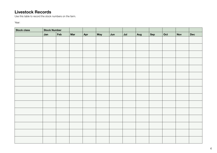### **Livestock Records**

Use this table to record the stock numbers on the farm.

Year:

| <b>Stock class</b> | <b>Stock Number</b> |     |     |     |     |     |     |     |     |     |            |            |
|--------------------|---------------------|-----|-----|-----|-----|-----|-----|-----|-----|-----|------------|------------|
|                    | Jan                 | Feb | Mar | Apr | May | Jun | Jul | Aug | Sep | Oct | <b>Nov</b> | <b>Dec</b> |
|                    |                     |     |     |     |     |     |     |     |     |     |            |            |
|                    |                     |     |     |     |     |     |     |     |     |     |            |            |
|                    |                     |     |     |     |     |     |     |     |     |     |            |            |
|                    |                     |     |     |     |     |     |     |     |     |     |            |            |
|                    |                     |     |     |     |     |     |     |     |     |     |            |            |
|                    |                     |     |     |     |     |     |     |     |     |     |            |            |
|                    |                     |     |     |     |     |     |     |     |     |     |            |            |
|                    |                     |     |     |     |     |     |     |     |     |     |            |            |
|                    |                     |     |     |     |     |     |     |     |     |     |            |            |
|                    |                     |     |     |     |     |     |     |     |     |     |            |            |
|                    |                     |     |     |     |     |     |     |     |     |     |            |            |
|                    |                     |     |     |     |     |     |     |     |     |     |            |            |
|                    |                     |     |     |     |     |     |     |     |     |     |            |            |
|                    |                     |     |     |     |     |     |     |     |     |     |            |            |
|                    |                     |     |     |     |     |     |     |     |     |     |            |            |